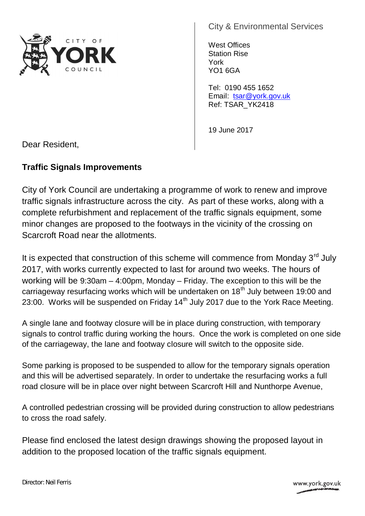

City & Environmental Services

West Offices Station Rise York YO1 6GA

Tel: 0190 455 1652 Email: tsar@york.gov.uk Ref: TSAR\_YK2418

19 June 2017

Dear Resident,

## **Traffic Signals Improvements**

City of York Council are undertaking a programme of work to renew and improve traffic signals infrastructure across the city. As part of these works, along with a complete refurbishment and replacement of the traffic signals equipment, some minor changes are proposed to the footways in the vicinity of the crossing on Scarcroft Road near the allotments.

It is expected that construction of this scheme will commence from Monday  $3<sup>rd</sup>$  July 2017, with works currently expected to last for around two weeks. The hours of working will be 9:30am – 4:00pm, Monday – Friday. The exception to this will be the carriageway resurfacing works which will be undertaken on  $18<sup>th</sup>$  July between 19:00 and 23:00. Works will be suspended on Friday  $14<sup>th</sup>$  July 2017 due to the York Race Meeting.

A single lane and footway closure will be in place during construction, with temporary signals to control traffic during working the hours. Once the work is completed on one side of the carriageway, the lane and footway closure will switch to the opposite side.

Some parking is proposed to be suspended to allow for the temporary signals operation and this will be advertised separately. In order to undertake the resurfacing works a full road closure will be in place over night between Scarcroft Hill and Nunthorpe Avenue,

A controlled pedestrian crossing will be provided during construction to allow pedestrians to cross the road safely.

Please find enclosed the latest design drawings showing the proposed layout in addition to the proposed location of the traffic signals equipment.

www.york.gov.uk